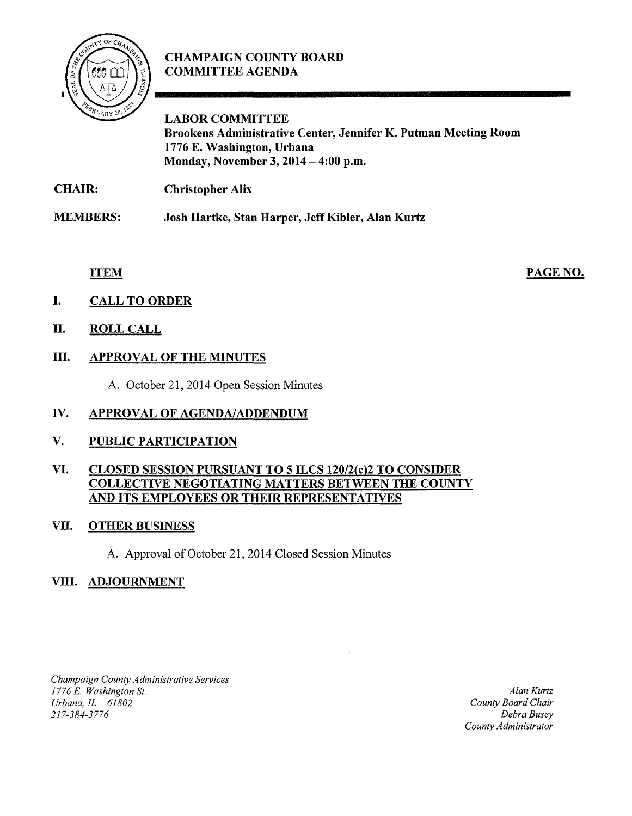

## CHAMPAIGN COUNTY BOARD COMMITTEE AGENDA

LABOR COMMITTEE Brookens Administrative Center, Jennifer K. Putman Meeting Room 1776 E. Washington, Urbana Monday, November 3, 2014-4:00 p.m.

CHAIR: Christopher Alix

MEMBERS: Josh Hartke, Stan Harper, Jeff Kibler, Alan Kurtz

ITEM

PAGE NO.

- I. CALL TO ORDER
- II. ROLL CALL

# III. APPROVAL OF THE MINUTES

A. October 21, 2014 Open Session Minutes

### IV. APPROVAL OF AGENDA/ADDENDUM

### V. PUBLIC PARTICIPATION

#### VI. CLOSED SESSION PURSUANT TO 5ILCS120/2(c)2 TO CONSIDER COLLECTIVE NEGOTIATING MATTERS BETWEEN THE COUNTY AND ITS EMPLOYEES OR THEIR REPRESENTATIVES

### VII. OTHER BUSINESS

A. Approval of October 21, 2014 Closed Session Minutes

### VIII. ADJOURNMENT

*Champaign County Administrative Services 1776* E. *Washington St. Urbana, IL 61802 2 I 7-384-3776* 

*Alan Kurtz County Board Chair Debra Busey County Administrator*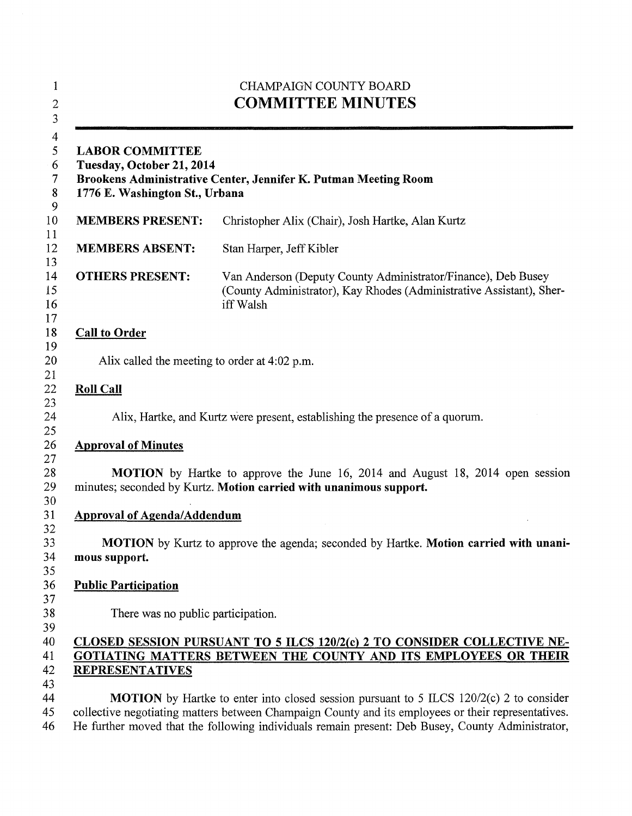| 1<br>$\overline{c}$<br>$\overline{\mathbf{3}}$               | <b>CHAMPAIGN COUNTY BOARD</b><br><b>COMMITTEE MINUTES</b><br><b>LABOR COMMITTEE</b><br>Tuesday, October 21, 2014<br>Brookens Administrative Center, Jennifer K. Putman Meeting Room<br>1776 E. Washington St., Urbana                                                                                     |                                                                                                                                                    |  |
|--------------------------------------------------------------|-----------------------------------------------------------------------------------------------------------------------------------------------------------------------------------------------------------------------------------------------------------------------------------------------------------|----------------------------------------------------------------------------------------------------------------------------------------------------|--|
| $\boldsymbol{4}$<br>5<br>6<br>$\overline{7}$<br>$\bf 8$<br>9 |                                                                                                                                                                                                                                                                                                           |                                                                                                                                                    |  |
| 10<br>11                                                     | <b>MEMBERS PRESENT:</b>                                                                                                                                                                                                                                                                                   | Christopher Alix (Chair), Josh Hartke, Alan Kurtz                                                                                                  |  |
| 12                                                           | <b>MEMBERS ABSENT:</b>                                                                                                                                                                                                                                                                                    | Stan Harper, Jeff Kibler                                                                                                                           |  |
| 13<br>14<br>15<br>16<br>17                                   | <b>OTHERS PRESENT:</b>                                                                                                                                                                                                                                                                                    | Van Anderson (Deputy County Administrator/Finance), Deb Busey<br>(County Administrator), Kay Rhodes (Administrative Assistant), Sher-<br>iff Walsh |  |
| 18                                                           | <b>Call to Order</b>                                                                                                                                                                                                                                                                                      |                                                                                                                                                    |  |
| 19<br>20                                                     | Alix called the meeting to order at 4:02 p.m.                                                                                                                                                                                                                                                             |                                                                                                                                                    |  |
| 21<br>22                                                     | <b>Roll Call</b>                                                                                                                                                                                                                                                                                          |                                                                                                                                                    |  |
| 23<br>24<br>25                                               | Alix, Hartke, and Kurtz were present, establishing the presence of a quorum.                                                                                                                                                                                                                              |                                                                                                                                                    |  |
| 26                                                           | <b>Approval of Minutes</b>                                                                                                                                                                                                                                                                                |                                                                                                                                                    |  |
| 27<br>28<br>29<br>30                                         | <b>MOTION</b> by Hartke to approve the June 16, 2014 and August 18, 2014 open session<br>minutes; seconded by Kurtz. Motion carried with unanimous support.                                                                                                                                               |                                                                                                                                                    |  |
| 31                                                           | <b>Approval of Agenda/Addendum</b>                                                                                                                                                                                                                                                                        |                                                                                                                                                    |  |
| 32<br>33<br>34<br>35                                         | <b>MOTION</b> by Kurtz to approve the agenda; seconded by Hartke. <b>Motion carried with unani-</b><br>mous support.                                                                                                                                                                                      |                                                                                                                                                    |  |
| 36                                                           | <b>Public Participation</b>                                                                                                                                                                                                                                                                               |                                                                                                                                                    |  |
| 37<br>38<br>39                                               | There was no public participation.                                                                                                                                                                                                                                                                        |                                                                                                                                                    |  |
| 40<br>41<br>42                                               | CLOSED SESSION PURSUANT TO 5 ILCS 120/2(c) 2 TO CONSIDER COLLECTIVE NE-<br>GOTIATING MATTERS BETWEEN THE COUNTY AND ITS EMPLOYEES OR THEIR<br><b>REPRESENTATIVES</b>                                                                                                                                      |                                                                                                                                                    |  |
| 43<br>44<br>45<br>46                                         | <b>MOTION</b> by Hartke to enter into closed session pursuant to 5 ILCS 120/2(c) 2 to consider<br>collective negotiating matters between Champaign County and its employees or their representatives.<br>He further moved that the following individuals remain present: Deb Busey, County Administrator, |                                                                                                                                                    |  |